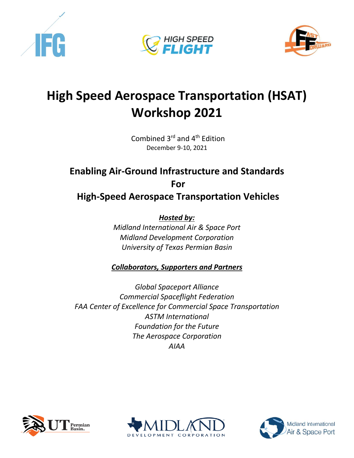





## **High Speed Aerospace Transportation (HSAT) Workshop 2021**

Combined 3rd and 4th Edition December 9-10, 2021

## **Enabling Air-Ground Infrastructure and Standards For High-Speed Aerospace Transportation Vehicles**

*Hosted by:* 

*Midland International Air & Space Port Midland Development Corporation University of Texas Permian Basin*

*Collaborators, Supporters and Partners*

*Global Spaceport Alliance Commercial Spaceflight Federation FAA Center of Excellence for Commercial Space Transportation ASTM International Foundation for the Future The Aerospace Corporation AIAA*